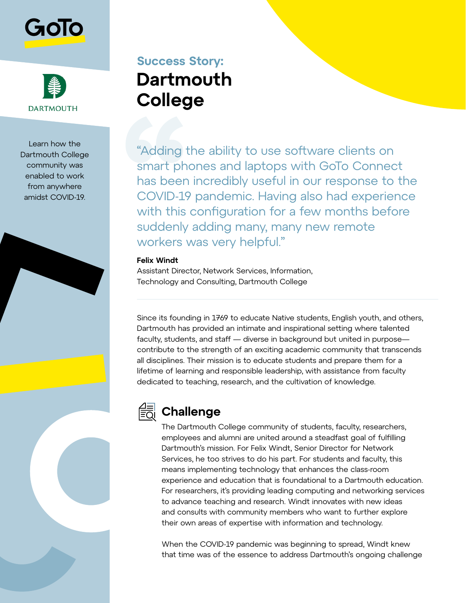



Learn how the Dartmouth College community was enabled to work from anywhere amidst COVID-19.

# **Success Story: Dartmouth College**

"Adding the ability to use software clients on smart phones and laptops with GoTo Connect has been incredibly useful in our response to the COVID-19 pandemic. Having also had experience with this configuration for a few months before suddenly adding many, many new remote workers was very helpful."

### **Felix Windt**

Assistant Director, Network Services, Information, Technology and Consulting, Dartmouth College

Since its founding in 1769 to educate Native students, English youth, and others, Dartmouth has provided an intimate and inspirational setting where talented faculty, students, and staff — diverse in background but united in purpose contribute to the strength of an exciting academic community that transcends all disciplines. Their mission is to educate students and prepare them for a lifetime of learning and responsible leadership, with assistance from faculty dedicated to teaching, research, and the cultivation of knowledge.



# **Challenge**

The Dartmouth College community of students, faculty, researchers, employees and alumni are united around a steadfast goal of fulfilling Dartmouth's mission. For Felix Windt, Senior Director for Network Services, he too strives to do his part. For students and faculty, this means implementing technology that enhances the class-room experience and education that is foundational to a Dartmouth education. For researchers, it's providing leading computing and networking services to advance teaching and research. Windt innovates with new ideas and consults with community members who want to further explore their own areas of expertise with information and technology.

When the COVID-19 pandemic was beginning to spread, Windt knew that time was of the essence to address Dartmouth's ongoing challenge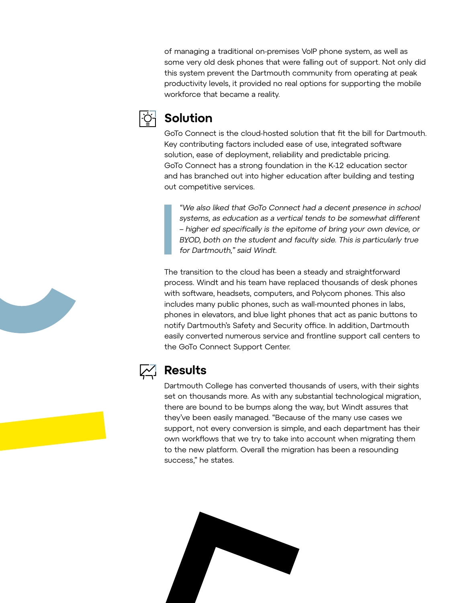of managing a traditional on-premises VoIP phone system, as well as some very old desk phones that were falling out of support. Not only did this system prevent the Dartmouth community from operating at peak productivity levels, it provided no real options for supporting the mobile workforce that became a reality.



### **Solution**

GoTo Connect is the cloud-hosted solution that fit the bill for Dartmouth. Key contributing factors included ease of use, integrated software solution, ease of deployment, reliability and predictable pricing. GoTo Connect has a strong foundation in the K-12 education sector and has branched out into higher education after building and testing out competitive services.

"We also liked that GoTo Connect had a decent presence in school systems, as education as a vertical tends to be somewhat different – higher ed specifically is the epitome of bring your own device, or BYOD, both on the student and faculty side. This is particularly true for Dartmouth," said Windt.

The transition to the cloud has been a steady and straightforward process. Windt and his team have replaced thousands of desk phones with software, headsets, computers, and Polycom phones. This also includes many public phones, such as wall-mounted phones in labs, phones in elevators, and blue light phones that act as panic buttons to notify Dartmouth's Safety and Security office. In addition, Dartmouth easily converted numerous service and frontline support call centers to the GoTo Connect Support Center.



# **Results**

Dartmouth College has converted thousands of users, with their sights set on thousands more. As with any substantial technological migration, there are bound to be bumps along the way, but Windt assures that they've been easily managed. "Because of the many use cases we support, not every conversion is simple, and each department has their own workflows that we try to take into account when migrating them to the new platform. Overall the migration has been a resounding success," he states.